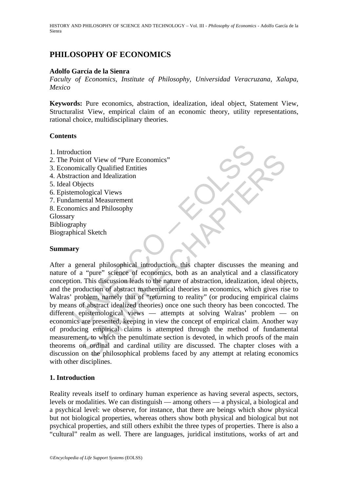HISTORY AND PHILOSOPHY OF SCIENCE AND TECHNOLOGY – Vol. III - *Philosophy of Economics* - Adolfo García de la Sienra

# **PHILOSOPHY OF ECONOMICS**

### **Adolfo García de la Sienra**

*Faculty of Economics, Institute of Philosophy, Universidad Veracruzana, Xalapa, Mexico* 

**Keywords:** Pure economics, abstraction, idealization, ideal object, Statement View, Structuralist View, empirical claim of an economic theory, utility representations, rational choice, multidisciplinary theories.

#### **Contents**

- 1. Introduction
- 2. The Point of View of "Pure Economics"
- 3. Economically Qualified Entities
- 4. Abstraction and Idealization
- 5. Ideal Objects
- 6. Epistemological Views
- 7. Fundamental Measurement
- 8. Economics and Philosophy

Glossary

Bibliography

Biographical Sketch

## **Summary**

duction<br>
Point of View of "Pure Economics"<br>
omically Qualified Entities<br>
action and Idealization<br>
Objects<br>
armological Views<br>
emological Views<br>
omics and Philosophy<br>
y<br>
y<br>
raphy<br>
y<br>
general philosophical introduction, this Control of View of "Pure Economics"<br>
it of View of "Pure Economics"<br>
ically Qualified Entities<br>
ion and Idealization<br>
ological Views<br>
ental Measurement<br>
tis chapter<br>
and Philosophy<br>
hy<br>
al Sketch<br>
and Philosophy<br>
hy<br>
al Sk After a general philosophical introduction, this chapter discusses the meaning and nature of a "pure" science of economics, both as an analytical and a classificatory conception. This discussion leads to the nature of abstraction, idealization, ideal objects, and the production of abstract mathematical theories in economics, which gives rise to Walras' problem, namely that of "returning to reality" (or producing empirical claims by means of abstract idealized theories) once one such theory has been concocted. The different epistemological views — attempts at solving Walras' problem — on economics are presented, keeping in view the concept of empirical claim. Another way of producing empirical claims is attempted through the method of fundamental measurement, to which the penultimate section is devoted, in which proofs of the main theorems on ordinal and cardinal utility are discussed. The chapter closes with a discussion on the philosophical problems faced by any attempt at relating economics with other disciplines.

## **1. Introduction**

Reality reveals itself to ordinary human experience as having several aspects, sectors, levels or modalities. We can distinguish — among others — a physical, a biological and a psychical level: we observe, for instance, that there are beings which show physical but not biological properties, whereas others show both physical and biological but not psychical properties, and still others exhibit the three types of properties. There is also a "cultural" realm as well. There are languages, juridical institutions, works of art and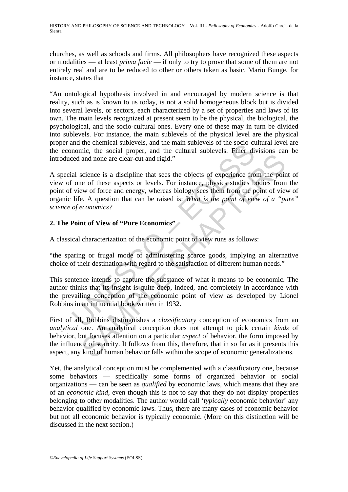churches, as well as schools and firms. All philosophers have recognized these aspects or modalities — at least *prima facie* — if only to try to prove that some of them are not entirely real and are to be reduced to other or others taken as basic. Mario Bunge, for instance, states that

"An ontological hypothesis involved in and encouraged by modern science is that reality, such as is known to us today, is not a solid homogeneous block but is divided into several levels, or sectors, each characterized by a set of properties and laws of its own. The main levels recognized at present seem to be the physical, the biological, the psychological, and the socio-cultural ones. Every one of these may in turn be divided into sublevels. For instance, the main sublevels of the physical level are the physical proper and the chemical sublevels, and the main sublevels of the socio-cultural level are the economic, the social proper, and the cultural sublevels. Finer divisions can be introduced and none are clear-cut and rigid."

Information contents showed the main state into the social contents. the social propert, and the cultural sublevels. Finer direct and none are clear-cut and rigid."<br>
al science is a discipline that sees the objects of expe and none are clear-cut and rigid."<br>
and none are clear-cut and rigid."<br>
science is a discipline that sees the objects of experience from the point<br>
of of these aspects or levels. For instance, physics studies bodies from<br> A special science is a discipline that sees the objects of experience from the point of view of one of these aspects or levels. For instance, physics studies bodies from the point of view of force and energy, whereas biology sees them from the point of view of organic life. A question that can be raised is: *What is the point of view of a "pure" science of economics?*

## **2. The Point of View of "Pure Economics"**

A classical characterization of the economic point of view runs as follows:

"the sparing or frugal mode of administering scarce goods, implying an alternative choice of their destination with regard to the satisfaction of different human needs."

This sentence intends to capture the substance of what it means to be economic. The author thinks that its insight is quite deep, indeed, and completely in accordance with the prevailing conception of the economic point of view as developed by Lionel Robbins in an influential book written in 1932.

First of all, Robbins distinguishes a *classificatory* conception of economics from an *analytical* one. An analytical conception does not attempt to pick certain *kinds* of behavior, but focuses attention on a particular *aspect* of behavior, the form imposed by the influence of scarcity. It follows from this, therefore, that in so far as it presents this aspect, any kind of human behavior falls within the scope of economic generalizations.

Yet, the analytical conception must be complemented with a classificatory one, because some behaviors — specifically some forms of organized behavior or social organizations — can be seen as *qualified* by economic laws, which means that they are of an *economic kind*, even though this is not to say that they do not display properties belonging to other modalities. The author would call '*typically* economic behavior' any behavior qualified by economic laws. Thus, there are many cases of economic behavior but not all economic behavior is typically economic. (More on this distinction will be discussed in the next section.)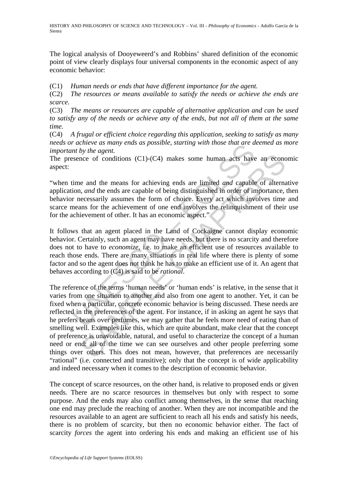The logical analysis of Dooyeweerd's and Robbins' shared definition of the economic point of view clearly displays four universal components in the economic aspect of any economic behavior:

(C1) *Human needs or ends that have different importance for the agent.* 

(C2) *The resources or means available to satisfy the needs or achieve the ends are scarce.* 

(C3) *The means or resources are capable of alternative application and can be used to satisfy any of the needs or achieve any of the ends, but not all of them at the same time.* 

(C4) *A frugal or efficient choice regarding this application, seeking to satisfy as many needs or achieve as many ends as possible, starting with those that are deemed as more important by the agent.*

The presence of conditions (C1)-(C4) makes some human acts have an economic aspect:

"when time and the means for achieving ends are limited *and* capable of alternative application, *and* the ends are capable of being distinguished in order of importance, then behavior necessarily assumes the form of choice. Every act which involves time and scarce means for the achievement of one end involves the relinquishment of their use for the achievement of other. It has an economic aspect."

Function and the means are sharen as a possible, starting with inose mat are a<br>int by the agent.<br>time and the means for achieving ends are limited and capable<br>time and the means for achieving ends are limited and capable<br> It follows that an agent placed in the Land of Cockaigne cannot display economic behavior. Certainly, such an agent may have needs, but there is no scarcity and therefore does not to have to *economize*, i.e. to make an efficient use of resources available to reach those ends. There are many situations in real life where there is plenty of some factor and so the agent does not think he has to make an efficient use of it. An agent that behaves according to (C4) is said to be *rational*.

is the mean start of conditions (C1)-(C4) makes some human acts have an economies of conditions (C1)-(C4) makes some human acts have an economies, and the meas are capable of being distinguished in order of importance, ac The reference of the terms 'human needs' or 'human ends' is relative, in the sense that it varies from one situation to another and also from one agent to another. Yet, it can be fixed when a particular, concrete economic behavior is being discussed. These needs are reflected in the preferences of the agent. For instance, if in asking an agent he says that he prefers beans over perfumes, we may gather that he feels more need of eating than of smelling well. Examples like this, which are quite abundant, make clear that the concept of preference is unavoidable, natural, and useful to characterize the concept of a human need or end: all of the time we can see ourselves and other people preferring some things over others. This does not mean, however, that preferences are necessarily "rational" (i.e. connected and transitive); only that the concept is of wide applicability and indeed necessary when it comes to the description of economic behavior.

The concept of scarce resources, on the other hand, is relative to proposed ends or given needs. There are no scarce resources in themselves but only with respect to some purpose. And the ends may also conflict among themselves, in the sense that reaching one end may preclude the reaching of another. When they are not incompatible and the resources available to an agent are sufficient to reach all his ends and satisfy his needs, there is no problem of scarcity, but then no economic behavior either. The fact of scarcity *forces* the agent into ordering his ends and making an efficient use of his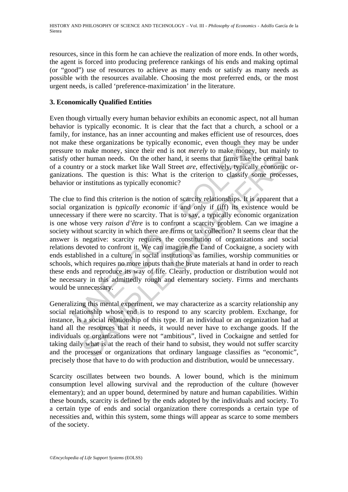resources, since in this form he can achieve the realization of more ends. In other words, the agent is forced into producing preference rankings of his ends and making optimal (or "good") use of resources to achieve as many ends or satisfy as many needs as possible with the resources available. Choosing the most preferred ends, or the most urgent needs, is called 'preference-maximization' in the literature.

## **3. Economically Qualified Entities**

Even though virtually every human behavior exhibits an economic aspect, not all human behavior is typically economic. It is clear that the fact that a church, a school or a family, for instance, has an inner accounting and makes efficient use of resources, does not make these organizations be typically economic, even though they may be under pressure to make money, since their end is not *merely* to make money, but mainly to satisfy other human needs. On the other hand, it seems that firms like the central bank of a country or a stock market like Wall Street *are*, effectively, typically economic organizations. The question is this: What is the criterion to classify some processes, behavior or institutions as typically economic?

is the three tores or ganizations of eyplicant events of the ending they are to make money, since their end is not *merely* to make money other human needs. On the other hand, it seems that firms like the untry or a stock er human meeds. On the other hand, it seems that firms like the central ty or a stock market like Wall Street *are*, effectively, typically economic. The question is this: What is the criterion to classify some proces ins The clue to find this criterion is the notion of scarcity relationships. It is apparent that a social organization is *typically economic* if and only if (iff) its existence would be unnecessary if there were no scarcity. That is to say, a typically economic organization is one whose very *raison d'être* is to confront a scarcity problem. Can we imagine a society without scarcity in which there are firms or tax collection? It seems clear that the answer is negative: scarcity requires the constitution of organizations and social relations devoted to confront it. We can imagine the Land of Cockaigne, a society with ends established in a culture, in social institutions as families, worship communities or schools, which requires no more inputs than the brute materials at hand in order to reach these ends and reproduce its way of life. Clearly, production or distribution would not be necessary in this admittedly rough and elementary society. Firms and merchants would be unnecessary.

Generalizing this mental experiment, we may characterize as a scarcity relationship any social relationship whose end is to respond to any scarcity problem. Exchange, for instance, is a social relationship of this type. If an individual or an organization had at hand all the resources that it needs, it would never have to exchange goods. If the individuals or organizations were not "ambitious", lived in Cockaigne and settled for taking daily what is at the reach of their hand to subsist, they would not suffer scarcity and the processes or organizations that ordinary language classifies as "economic", precisely those that have to do with production and distribution, would be unnecessary.

Scarcity oscillates between two bounds. A lower bound, which is the minimum consumption level allowing survival and the reproduction of the culture (however elementary); and an upper bound, determined by nature and human capabilities. Within these bounds, scarcity is defined by the ends adopted by the individuals and society. To a certain type of ends and social organization there corresponds a certain type of necessities and, within this system, some things will appear as scarce to some members of the society.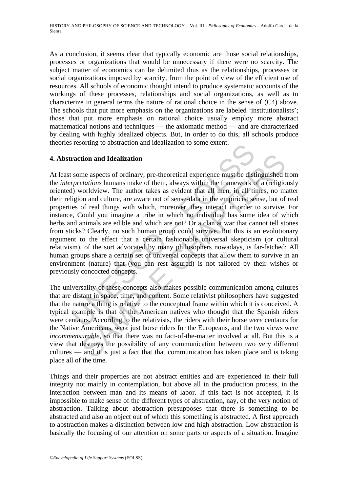As a conclusion, it seems clear that typically economic are those social relationships, processes or organizations that would be unnecessary if there were no scarcity. The subject matter of economics can be delimited thus as the relationships, processes or social organizations imposed by scarcity, from the point of view of the efficient use of resources. All schools of economic thought intend to produce systematic accounts of the workings of these processes, relationships and social organizations, as well as to characterize in general terms the nature of rational choice in the sense of (C4) above. The schools that put more emphasis on the organizations are labeled 'institutionalists'; those that put more emphasis on rational choice usually employ more abstract mathematical notions and techniques — the axiomatic method — and are characterized by dealing with highly idealized objects. But, in order to do this, all schools produce theories resorting to abstraction and idealization to some extent.

## **4. Abstraction and Idealization**

resolution and Idealization and idealization to some extent.<br> **Traction and Idealization**<br>
some aspects of ordinary, pre-theoretical experience must be dist<br>
preventions humans make of them, always within the framework c<br> **tion and Idealization**<br> **tion and Idealization**<br> **e** aspects of ordinary, pre-theoretical experience must be distinguished<br> *etations* humans make of them, always within the framework of a (religion)<br>
sorldview. The auth At least some aspects of ordinary, pre-theoretical experience must be distinguished from the *interpretations* humans make of them, always within the framework of a (religiously oriented) worldview. The author takes as evident that all men, in all times, no matter their religion and culture, are aware not of sense-data in the empiricist sense, but of real properties of real things with which, moreover, they interact in order to survive. For instance, Could you imagine a tribe in which no individual has some idea of which herbs and animals are edible and which are not? Or a clan at war that cannot tell stones from sticks? Clearly, no such human group could survive. But this is an evolutionary argument to the effect that a certain fashionable universal skepticism (or cultural relativism), of the sort advocated by many philosophers nowadays, is far-fetched: All human groups share a certain set of universal concepts that allow them to survive in an environment (nature) that (you can rest assured) is not tailored by their wishes or previously concocted concepts.

The universality of these concepts also makes possible communication among cultures that are distant in space, time, and content. Some relativist philosophers have suggested that the nature a thing is relative to the conceptual frame within which it is conceived. A typical example is that of the American natives who thought that the Spanish riders were centaurs. According to the relativists, the riders with their horse *were* centaurs for the Native Americans, *were* just horse riders for the Europeans, and the two views were *incommensurable*, so that there was no fact-of-the-matter involved at all. But this is a view that destroys the possibility of any communication between two very different cultures — and it is just a fact that that communication has taken place and is taking place all of the time.

Things and their properties are not abstract entities and are experienced in their full integrity not mainly in contemplation, but above all in the production process, in the interaction between man and its means of labor. If this fact is not accepted, it is impossible to make sense of the different types of abstraction, nay, of the very notion of abstraction. Talking about abstraction presupposes that there is something to be abstracted and also an object out of which this something is abstracted. A first approach to abstraction makes a distinction between low and high abstraction. Low abstraction is basically the focusing of our attention on some parts or aspects of a situation. Imagine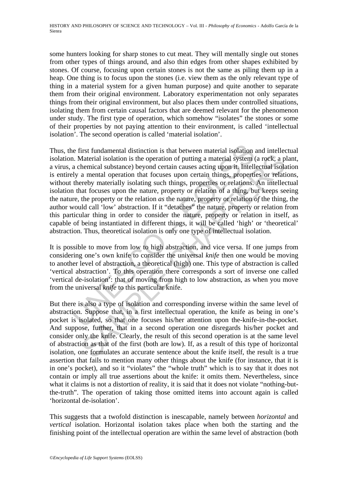some hunters looking for sharp stones to cut meat. They will mentally single out stones from other types of things around, and also thin edges from other shapes exhibited by stones. Of course, focusing upon certain stones is not the same as piling them up in a heap. One thing is to focus upon the stones (i.e. view them as the only relevant type of thing in a material system for a given human purpose) and quite another to separate them from their original environment. Laboratory experimentation not only separates things from their original environment, but also places them under controlled situations, isolating them from certain causal factors that are deemed relevant for the phenomenon under study. The first type of operation, which somehow "isolates" the stones or some of their properties by not paying attention to their environment, is called 'intellectual isolation'. The second operation is called 'material isolation'.

ince first fundamental distinction is that between material isolation.<br>
In. Material isolation is the operation of putting a material system (a chemical substance) beyond certain causes acting upon it. Intell<br>
Lely a menta Material isolation is the operation of putting a material system (a rock, a phemical substance) beyond certain causes acting upon it. Intellectual isolation as mental operation that focuses upon certain things, properties Thus, the first fundamental distinction is that between material isolation and intellectual isolation. Material isolation is the operation of putting a material system (a rock, a plant, a virus, a chemical substance) beyond certain causes acting upon it. Intellectual isolation is entirely a mental operation that focuses upon certain things, properties or relations, without thereby materially isolating such things, properties or relations. An intellectual isolation that focuses upon the nature, property or relation of a thing, but keeps seeing the nature, the property or the relation *as* the nature, property or relation *of* the thing, the author would call 'low' abstraction. If it "detaches" the nature, property or relation from this particular thing in order to consider the nature, property or relation in itself, as capable of being instantiated in different things, it will be called 'high' or 'theoretical' abstraction. Thus, theoretical isolation is only one type of intellectual isolation.

It is possible to move from low to high abstraction, and vice versa. If one jumps from considering one's own knife to consider the universal *knife* then one would be moving to another level of abstraction, a theoretical (high) one. This type of abstraction is called 'vertical abstraction'. To this operation there corresponds a sort of inverse one called 'vertical de-isolation': that of moving from high to low abstraction, as when you move from the universal *knife* to this particular knife.

But there is also a type of isolation and corresponding inverse within the same level of abstraction. Suppose that, in a first intellectual operation, the knife as being in one's pocket is isolated, so that one focuses his/her attention upon the-knife-in-the-pocket. And suppose, further, that in a second operation one disregards his/her pocket and consider only the knife. Clearly, the result of this second operation is at the same level of abstraction as that of the first (both are low). If, as a result of this type of horizontal isolation, one formulates an accurate sentence about the knife itself, the result is a true assertion that fails to mention many other things about the knife (for instance, that it is in one's pocket), and so it "violates" the "whole truth" which is to say that it does not contain or imply all true assertions about the knife: it omits them. Nevertheless, since what it claims is not a distortion of reality, it is said that it does not violate "nothing-butthe-truth". The operation of taking those omitted items into account again is called 'horizontal de-isolation'.

This suggests that a twofold distinction is inescapable, namely between *horizontal* and *vertical* isolation. Horizontal isolation takes place when both the starting and the finishing point of the intellectual operation are within the same level of abstraction (both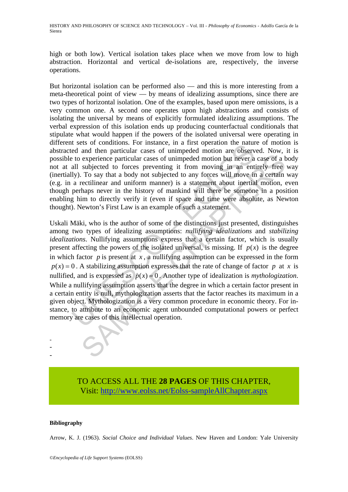HISTORY AND PHILOSOPHY OF SCIENCE AND TECHNOLOGY – Vol. III - *Philosophy of Economics* - Adolfo García de la Sienra

high or both low). Vertical isolation takes place when we move from low to high abstraction. Horizontal and vertical de-isolations are, respectively, the inverse operations.

But horizontal isolation can be performed also — and this is more interesting from a meta-theoretical point of view — by means of idealizing assumptions, since there are two types of horizontal isolation. One of the examples, based upon mere omissions, is a very common one. A second one operates upon high abstractions and consists of isolating the universal by means of explicitly formulated idealizing assumptions. The verbal expression of this isolation ends up producing counterfactual conditionals that stipulate what would happen if the powers of the isolated universal were operating in different sets of conditions. For instance, in a first operation the nature of motion is abstracted and then particular cases of unimpeded motion are observed. Now, it is possible to experience particular cases of unimpeded motion but never a case of a body not at all subjected to forces preventing it from moving in an entirely free way (inertially). To say that a body not subjected to any forces will move in a certain way (e.g. in a rectilinear and uniform manner) is a statement about inertial motion, even though perhaps never in the history of mankind will there be someone in a position enabling him to directly verify it (even if space and time were absolute, as Newton thought). Newton's First Law is an example of such a statement.

vess or containos. For instance, in a rinst operation the ratuit<br>ed and then particular cases of unimpeded motion are observ<br>to experience particular cases of unimpeded motion but never a<br>all subjected to forces preventin experience particular cases of unimpeded motion but never a case of a subjected to forces preventing it from moving in an entirely free To say that a body not subjected to any forces will move a a certain  $\Gamma$ . To say tha Uskali Mäki, who is the author of some of the distinctions just presented, distinguishes among two types of idealizing assumptions: *nullifying idealizations* and *stabilizing idealizations*. Nullifying assumptions express that a certain factor, which is usually present affecting the powers of the isolated universal, is missing. If  $p(x)$  is the degree in which factor  $p$  is present at  $x$ , a nullifying assumption can be expressed in the form  $p(x) = 0$ . A stabilizing assumption expresses that the rate of change of factor *p* at *x* is nullified, and is expressed as  $p(x) = 0$ . Another type of idealization is *mythologization*. While a nullifying assumption asserts that the degree in which a certain factor present in a certain entity is null, mythologization asserts that the factor reaches its maximum in a given object. Mythologization is a very common procedure in economic theory. For instance, to attribute to an economic agent unbounded computational powers or perfect memory are cases of this intellectual operation.

> TO ACCESS ALL THE **28 PAGES** OF THIS CHAPTER, Visit[: http://www.eolss.net/Eolss-sampleAllChapter.aspx](https://www.eolss.net/ebooklib/sc_cart.aspx?File=E6-89-12)

#### **Bibliography**

- - -

Arrow, K. J. (1963). *Social Choice and Individual Values*. New Haven and London: Yale University